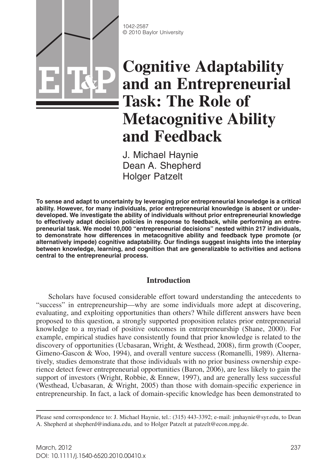1042-2587 © 2010 Baylor University



# **Cognitive Adaptability and an Entrepreneurial Task: The Role of Metacognitive Ability and Feedback**

J. Michael Haynie Dean A. Shepherd Holger Patzelt

**To sense and adapt to uncertainty by leveraging prior entrepreneurial knowledge is a critical ability. However, for many individuals, prior entrepreneurial knowledge is absent or underdeveloped. We investigate the ability of individuals without prior entrepreneurial knowledge to effectively adapt decision policies in response to feedback, while performing an entrepreneurial task. We model 10,000 "entrepreneurial decisions" nested within 217 individuals, to demonstrate how differences in metacognitive ability and feedback type promote (or alternatively impede) cognitive adaptability. Our findings suggest insights into the interplay between knowledge, learning, and cognition that are generalizable to activities and actions central to the entrepreneurial process.**

## **Introduction**

Scholars have focused considerable effort toward understanding the antecedents to "success" in entrepreneurship—why are some individuals more adept at discovering, evaluating, and exploiting opportunities than others? While different answers have been proposed to this question, a strongly supported proposition relates prior entrepreneurial knowledge to a myriad of positive outcomes in entrepreneurship (Shane, 2000). For example, empirical studies have consistently found that prior knowledge is related to the discovery of opportunities (Ucbasaran, Wright, & Westhead, 2008), firm growth (Cooper, Gimeno-Gascon & Woo, 1994), and overall venture success (Romanelli, 1989). Alternatively, studies demonstrate that those individuals with no prior business ownership experience detect fewer entrepreneurial opportunities (Baron, 2006), are less likely to gain the support of investors (Wright, Robbie, & Ennew, 1997), and are generally less successful (Westhead, Ucbasaran, & Wright, 2005) than those with domain-specific experience in entrepreneurship. In fact, a lack of domain-specific knowledge has been demonstrated to

Please send correspondence to: J. Michael Haynie, tel.: (315) 443-3392; e-mail: jmhaynie@syr.edu, to Dean A. Shepherd at shepherd@indiana.edu, and to Holger Patzelt at patzelt@econ.mpg.de.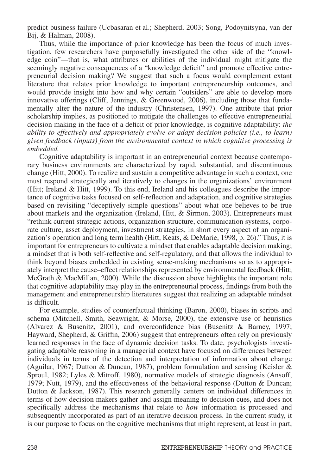predict business failure (Ucbasaran et al.; Shepherd, 2003; Song, Podoynitsyna, van der Bij, & Halman, 2008).

Thus, while the importance of prior knowledge has been the focus of much investigation, few researchers have purposefully investigated the other side of the "knowledge coin"—that is, what attributes or abilities of the individual might mitigate the seemingly negative consequences of a "knowledge deficit" and promote effective entrepreneurial decision making? We suggest that such a focus would complement extant literature that relates prior knowledge to important entrepreneurship outcomes, and would provide insight into how and why certain "outsiders" are able to develop more innovative offerings (Cliff, Jennings, & Greenwood, 2006), including those that fundamentally alter the nature of the industry (Christensen, 1997). One attribute that prior scholarship implies, as positioned to mitigate the challenges to effective entrepreneurial decision making in the face of a deficit of prior knowledge, is cognitive adaptability: *the ability to effectively and appropriately evolve or adapt decision policies (i.e., to learn) given feedback (inputs) from the environmental context in which cognitive processing is embedded.*

Cognitive adaptability is important in an entrepreneurial context because contemporary business environments are characterized by rapid, substantial, and discontinuous change (Hitt, 2000). To realize and sustain a competitive advantage in such a context, one must respond strategically and iteratively to changes in the organizations' environment (Hitt; Ireland & Hitt, 1999). To this end, Ireland and his colleagues describe the importance of cognitive tasks focused on self-reflection and adaptation, and cognitive strategies based on revisiting "deceptively simple questions" about what one believes to be true about markets and the organization (Ireland, Hitt, & Sirmon, 2003). Entrepreneurs must "rethink current strategic actions, organization structure, communication systems, corporate culture, asset deployment, investment strategies, in short every aspect of an organization's operation and long term health (Hitt, Keats, & DeMarie, 1998, p. 26)." Thus, it is important for entrepreneurs to cultivate a mindset that enables adaptable decision making; a mindset that is both self-reflective and self-regulatory, and that allows the individual to think beyond biases embedded in existing sense-making mechanisms so as to appropriately interpret the cause–effect relationships represented by environmental feedback (Hitt; McGrath & MacMillan, 2000). While the discussion above highlights the important role that cognitive adaptability may play in the entrepreneurial process, findings from both the management and entrepreneurship literatures suggest that realizing an adaptable mindset is difficult.

For example, studies of counterfactual thinking (Baron, 2000), biases in scripts and schema (Mitchell, Smith, Seawright, & Morse, 2000), the extensive use of heuristics (Alvarez & Busenitz, 2001), and overconfidence bias (Busenitz & Barney, 1997; Hayward, Shepherd, & Griffin, 2006) suggest that entrepreneurs often rely on previously learned responses in the face of dynamic decision tasks. To date, psychologists investigating adaptable reasoning in a managerial context have focused on differences between individuals in terms of the detection and interpretation of information about change (Aguilar, 1967; Dutton & Duncan, 1987), problem formulation and sensing (Keisler & Sproul, 1982; Lyles & Mitroff, 1980), normative models of strategic diagnosis (Ansoff, 1979; Nutt, 1979), and the effectiveness of the behavioral response (Dutton & Duncan; Dutton & Jackson, 1987). This research generally centers on individual differences in terms of how decision makers gather and assign meaning to decision cues, and does not specifically address the mechanisms that relate to *how* information is processed and subsequently incorporated as part of an iterative decision process. In the current study, it is our purpose to focus on the cognitive mechanisms that might represent, at least in part,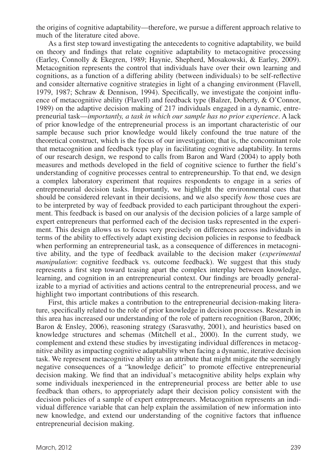the origins of cognitive adaptability—therefore, we pursue a different approach relative to much of the literature cited above.

As a first step toward investigating the antecedents to cognitive adaptability, we build on theory and findings that relate cognitive adaptability to metacognitive processing (Earley, Connolly & Ekegren, 1989; Haynie, Shepherd, Mosakowski, & Earley, 2009). Metacognition represents the control that individuals have over their own learning and cognitions, as a function of a differing ability (between individuals) to be self-reflective and consider alternative cognitive strategies in light of a changing environment (Flavell, 1979, 1987; Schraw & Dennison, 1994). Specifically, we investigate the conjoint influence of metacognitive ability (Flavell) and feedback type (Balzer, Doherty, & O'Connor, 1989) on the adaptive decision making of 217 individuals engaged in a dynamic, entrepreneurial task—*importantly, a task in which our sample has no prior experience*. A lack of prior knowledge of the entrepreneurial process is an important characteristic of our sample because such prior knowledge would likely confound the true nature of the theoretical construct, which is the focus of our investigation; that is, the concomitant role that metacognition and feedback type play in facilitating cognitive adaptability. In terms of our research design, we respond to calls from Baron and Ward (2004) to apply both measures and methods developed in the field of cognitive science to further the field's understanding of cognitive processes central to entrepreneurship. To that end, we design a complex laboratory experiment that requires respondents to engage in a series of entrepreneurial decision tasks. Importantly, we highlight the environmental cues that should be considered relevant in their decisions, and we also specify *how* those cues are to be interpreted by way of feedback provided to each participant throughout the experiment. This feedback is based on our analysis of the decision policies of a large sample of expert entrepreneurs that performed each of the decision tasks represented in the experiment. This design allows us to focus very precisely on differences across individuals in terms of the ability to effectively adapt existing decision policies in response to feedback when performing an entrepreneurial task, as a consequence of differences in metacognitive ability, and the type of feedback available to the decision maker (*experimental manipulation*: cognitive feedback vs. outcome feedback). We suggest that this study represents a first step toward teasing apart the complex interplay between knowledge, learning, and cognition in an entrepreneurial context. Our findings are broadly generalizable to a myriad of activities and actions central to the entrepreneurial process, and we highlight two important contributions of this research.

First, this article makes a contribution to the entrepreneurial decision-making literature, specifically related to the role of prior knowledge in decision processes. Research in this area has increased our understanding of the role of pattern recognition (Baron, 2006; Baron & Ensley, 2006), reasoning strategy (Sarasvathy, 2001), and heuristics based on knowledge structures and schemas (Mitchell et al., 2000). In the current study, we complement and extend these studies by investigating individual differences in metacognitive ability as impacting cognitive adaptability when facing a dynamic, iterative decision task. We represent metacognitive ability as an attribute that might mitigate the seemingly negative consequences of a "knowledge deficit" to promote effective entrepreneurial decision making. We find that an individual's metacognitive ability helps explain why some individuals inexperienced in the entrepreneurial process are better able to use feedback than others, to appropriately adapt their decision policy consistent with the decision policies of a sample of expert entrepreneurs. Metacognition represents an individual difference variable that can help explain the assimilation of new information into new knowledge, and extend our understanding of the cognitive factors that influence entrepreneurial decision making.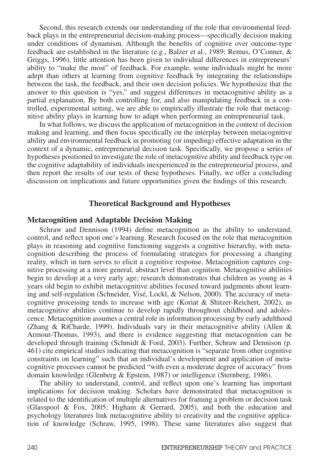Second, this research extends our understanding of the role that environmental feedback plays in the entrepreneurial decision-making process—specifically decision making under conditions of dynamism. Although the benefits of cognitive over outcome-type feedback are established in the literature (e.g., Balzer et al., 1989; Remus, O'Conner, & Griggs, 1996), little attention has been given to individual differences in entrepreneurs' ability to "make the most" of feedback. For example, some individuals might be more adept than others at learning from cognitive feedback by integrating the relationships between the task, the feedback, and their own decision policies. We hypothesize that the answer to this question is "yes," and suggest differences in metacognitive ability as a partial explanation. By both controlling for, and also manipulating feedback in a controlled, experimental setting, we are able to empirically illustrate the role that metacognitive ability plays in learning how to adapt when performing an entrepreneurial task.

In what follows, we discuss the application of metacognition in the context of decision making and learning, and then focus specifically on the interplay between metacognitive ability and environmental feedback in promoting (or impeding) effective adaptation in the context of a dynamic, entrepreneurial decision task. Specifically, we propose a series of hypotheses positioned to investigate the role of metacognitive ability and feedback type on the cognitive adaptability of individuals inexperienced in the entrepreneurial process, and then report the results of our tests of these hypotheses. Finally, we offer a concluding discussion on implications and future opportunities given the findings of this research.

#### **Theoretical Background and Hypotheses**

#### **Metacognition and Adaptable Decision Making**

Schraw and Dennison (1994) define metacognition as the ability to understand, control, and reflect upon one's learning. Research focused on the role that metacognition plays in reasoning and cognitive functioning suggests a cognitive hierarchy, with metacognition describing the process of formulating strategies for processing a changing reality, which in turn serves to elicit a cognitive response. Metacognition captures cognitive processing at a more general, abstract level than cognition. Metacognitive abilities begin to develop at a very early age; research demonstrates that children as young as 4 years old begin to exhibit metacognitive abilities focused toward judgments about learning and self-regulation (Schneider, Visé, Lockl, & Nelson, 2000). The accuracy of metacognitive processing tends to increase with age (Koriat & Shitzer-Reichert, 2002), as metacognitive abilities continue to develop rapidly throughout childhood and adolescence. Metacognition assumes a central role in information processing by early adulthood (Zhang & RiCharde, 1999). Individuals vary in their metacognitive ability (Allen & Armour-Thomas, 1993), and there is evidence suggesting that metacognition can be developed through training (Schmidt & Ford, 2003). Further, Schraw and Dennison (p. 461) cite empirical studies indicating that metacognition is "separate from other cognitive constraints on learning" such that an individual's development and application of metacognitive processes cannot be predicted "with even a moderate degree of accuracy" from domain knowledge (Glenberg & Epstein, 1987) or intelligence (Sternberg, 1986).

The ability to understand, control, and reflect upon one's learning has important implications for decision making. Scholars have demonstrated that metacognition is related to the identification of multiple alternatives for framing a problem or decision task (Glasspool & Fox, 2005; Higham & Gerrard, 2005), and both the education and psychology literatures link metacognitive ability to creativity and the cognitive application of knowledge (Schraw, 1995, 1998). These same literatures also suggest that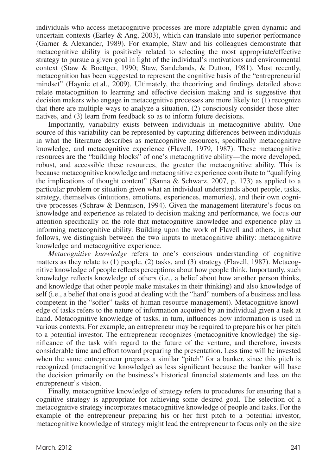individuals who access metacognitive processes are more adaptable given dynamic and uncertain contexts (Earley  $\&$  Ang, 2003), which can translate into superior performance (Garner & Alexander, 1989). For example, Staw and his colleagues demonstrate that metacognitive ability is positively related to selecting the most appropriate/effective strategy to pursue a given goal in light of the individual's motivations and environmental context (Staw & Boettger, 1990; Staw, Sandelands, & Dutton, 1981). Most recently, metacognition has been suggested to represent the cognitive basis of the "entrepreneurial mindset" (Haynie et al., 2009). Ultimately, the theorizing and findings detailed above relate metacognition to learning and effective decision making and is suggestive that decision makers who engage in metacognitive processes are more likely to: (1) recognize that there are multiple ways to analyze a situation, (2) consciously consider those alternatives, and (3) learn from feedback so as to inform future decisions.

Importantly, variability exists between individuals in metacognitive ability. One source of this variability can be represented by capturing differences between individuals in what the literature describes as metacognitive resources, specifically metacognitive knowledge, and metacognitive experience (Flavell, 1979, 1987). These metacognitive resources are the "building blocks" of one's metacognitive ability—the more developed, robust, and accessible these resources, the greater the metacognitive ability. This is because metacognitive knowledge and metacognitive experience contribute to "qualifying the implications of thought content" (Sanna & Schwarz, 2007, p. 173) as applied to a particular problem or situation given what an individual understands about people, tasks, strategy, themselves (intuitions, emotions, experiences, memories), and their own cognitive processes (Schraw & Dennison, 1994). Given the management literature's focus on knowledge and experience as related to decision making and performance, we focus our attention specifically on the role that metacognitive knowledge and experience play in informing metacognitive ability. Building upon the work of Flavell and others, in what follows, we distinguish between the two inputs to metacognitive ability: metacognitive knowledge and metacognitive experience.

*Metacognitive knowledge* refers to one's conscious understanding of cognitive matters as they relate to (1) people, (2) tasks, and (3) strategy (Flavell, 1987). Metacognitive knowledge of people reflects perceptions about how people think. Importantly, such knowledge reflects knowledge of others (i.e., a belief about how another person thinks, and knowledge that other people make mistakes in their thinking) and also knowledge of self (i.e., a belief that one is good at dealing with the "hard" numbers of a business and less competent in the "softer" tasks of human resource management). Metacognitive knowledge of tasks refers to the nature of information acquired by an individual given a task at hand. Metacognitive knowledge of tasks, in turn, influences how information is used in various contexts. For example, an entrepreneur may be required to prepare his or her pitch to a potential investor. The entrepreneur recognizes (metacognitive knowledge) the significance of the task with regard to the future of the venture, and therefore, invests considerable time and effort toward preparing the presentation. Less time will be invested when the same entrepreneur prepares a similar "pitch" for a banker, since this pitch is recognized (metacognitive knowledge) as less significant because the banker will base the decision primarily on the business's historical financial statements and less on the entrepreneur's vision.

Finally, metacognitive knowledge of strategy refers to procedures for ensuring that a cognitive strategy is appropriate for achieving some desired goal. The selection of a metacognitive strategy incorporates metacognitive knowledge of people and tasks. For the example of the entrepreneur preparing his or her first pitch to a potential investor, metacognitive knowledge of strategy might lead the entrepreneur to focus only on the size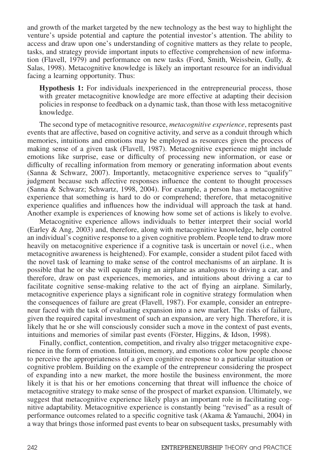and growth of the market targeted by the new technology as the best way to highlight the venture's upside potential and capture the potential investor's attention. The ability to access and draw upon one's understanding of cognitive matters as they relate to people, tasks, and strategy provide important inputs to effective comprehension of new information (Flavell, 1979) and performance on new tasks (Ford, Smith, Weissbein, Gully, & Salas, 1998). Metacognitive knowledge is likely an important resource for an individual facing a learning opportunity. Thus:

**Hypothesis 1:** For individuals inexperienced in the entrepreneurial process, those with greater metacognitive knowledge are more effective at adapting their decision policies in response to feedback on a dynamic task, than those with less metacognitive knowledge.

The second type of metacognitive resource, *metacognitive experience*, represents past events that are affective, based on cognitive activity, and serve as a conduit through which memories, intuitions and emotions may be employed as resources given the process of making sense of a given task (Flavell, 1987). Metacognitive experience might include emotions like surprise, ease or difficulty of processing new information, or ease or difficulty of recalling information from memory or generating information about events (Sanna & Schwarz, 2007). Importantly, metacognitive experience serves to "qualify" judgment because such affective responses influence the content to thought processes (Sanna & Schwarz; Schwartz, 1998, 2004). For example, a person has a metacognitive experience that something is hard to do or comprehend; therefore, that metacognitive experience qualifies and influences how the individual will approach the task at hand. Another example is experiences of knowing how some set of actions is likely to evolve.

Metacognitive experience allows individuals to better interpret their social world (Earley & Ang, 2003) and, therefore, along with metacognitive knowledge, help control an individual's cognitive response to a given cognitive problem. People tend to draw more heavily on metacognitive experience if a cognitive task is uncertain or novel (i.e., when metacognitive awareness is heightened). For example, consider a student pilot faced with the novel task of learning to make sense of the control mechanisms of an airplane. It is possible that he or she will equate flying an airplane as analogous to driving a car, and therefore, draw on past experiences, memories, and intuitions about driving a car to facilitate cognitive sense-making relative to the act of flying an airplane. Similarly, metacognitive experience plays a significant role in cognitive strategy formulation when the consequences of failure are great (Flavell, 1987). For example, consider an entrepreneur faced with the task of evaluating expansion into a new market. The risks of failure, given the required capital investment of such an expansion, are very high. Therefore, it is likely that he or she will consciously consider such a move in the context of past events, intuitions and memories of similar past events (Förster, Higgins, & Idson, 1998).

Finally, conflict, contention, competition, and rivalry also trigger metacognitive experience in the form of emotion. Intuition, memory, and emotions color how people choose to perceive the appropriateness of a given cognitive response to a particular situation or cognitive problem. Building on the example of the entrepreneur considering the prospect of expanding into a new market, the more hostile the business environment, the more likely it is that his or her emotions concerning that threat will influence the choice of metacognitive strategy to make sense of the prospect of market expansion. Ultimately, we suggest that metacognitive experience likely plays an important role in facilitating cognitive adaptability. Metacognitive experience is constantly being "revised" as a result of performance outcomes related to a specific cognitive task (Akama & Yamauchi, 2004) in a way that brings those informed past events to bear on subsequent tasks, presumably with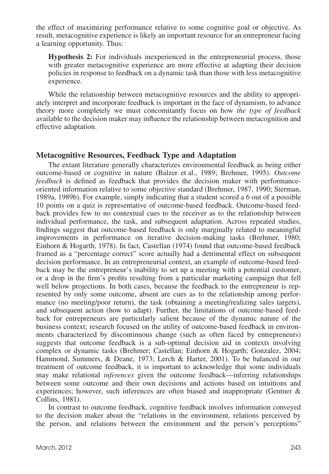the effect of maximizing performance relative to some cognitive goal or objective. As result, metacognitive experience is likely an important resource for an entrepreneur facing a learning opportunity. Thus:

**Hypothesis 2:** For individuals inexperienced in the entrepreneurial process, those with greater metacognitive experience are more effective at adapting their decision policies in response to feedback on a dynamic task than those with less metacognitive experience.

While the relationship between metacognitive resources and the ability to appropriately interpret and incorporate feedback is important in the face of dynamism, to advance theory more completely we must concomitantly focus on how *the type of feedback* available to the decision maker may influence the relationship between metacognition and effective adaptation.

#### **Metacognitive Resources, Feedback Type and Adaptation**

The extant literature generally characterizes environmental feedback as being either outcome-based or cognitive in nature (Balzer et al., 1989; Brehmer, 1995). *Outcome feedback* is defined as feedback that provides the decision maker with performanceoriented information relative to some objective standard (Brehmer, 1987, 1990; Sterman, 1989a, 1989b). For example, simply indicating that a student scored a 6 out of a possible 10 points on a quiz is representative of outcome-based feedback. Outcome-based feedback provides few to no contextual cues to the receiver as to the relationship between individual performance, the task, and subsequent adaptation. Across repeated studies, findings suggest that outcome-based feedback is only marginally related to meaningful improvements in performance on iterative decision-making tasks (Brehmer, 1980; Einhorn & Hogarth, 1978). In fact, Castellan (1974) found that outcome-based feedback framed as a "percentage correct" score actually had a detrimental effect on subsequent decision performance. In an entrepreneurial context, an example of outcome-based feedback may be the entrepreneur's inability to set up a meeting with a potential customer, or a drop in the firm's profits resulting from a particular marketing campaign that fell well below projections. In both cases, because the feedback to the entrepreneur is represented by only some outcome, absent are cues as to the relationship among performance (no meeting/poor return), the task (obtaining a meeting/realizing sales targets), and subsequent action (how to adapt). Further, the limitations of outcome-based feedback for entrepreneurs are particularly salient because of the dynamic nature of the business context; research focused on the utility of outcome-based feedback in environments characterized by discontinuous change (such as often faced by entrepreneurs) suggests that outcome feedback is a sub-optimal decision aid in contexts involving complex or dynamic tasks (Brehmer; Castellan; Einhorn & Hogarth; Gonzalez, 2004; Hammond, Summers, & Deane, 1973; Lerch & Harter, 2001). To be balanced in our treatment of outcome feedback, it is important to acknowledge that some individuals may make relational *inferences* given the outcome feedback—inferring relationships between some outcome and their own decisions and actions based on intuitions and experiences; however, such inferences are often biased and inappropriate (Gentner & Collins, 1981).

In contrast to outcome feedback, cognitive feedback involves information conveyed to the decision maker about the "relations in the environment, relations perceived by the person, and relations between the environment and the person's perceptions"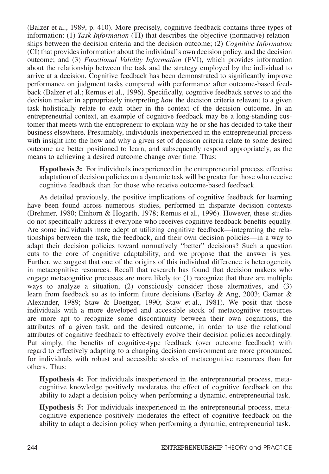(Balzer et al., 1989, p. 410). More precisely, cognitive feedback contains three types of information: (1) *Task Information* (TI) that describes the objective (normative) relationships between the decision criteria and the decision outcome; (2) *Cognitive Information* (CI) that provides information about the individual's own decision policy, and the decision outcome; and (3) *Functional Validity Information* (FVI), which provides information about the relationship between the task and the strategy employed by the individual to arrive at a decision. Cognitive feedback has been demonstrated to significantly improve performance on judgment tasks compared with performance after outcome-based feedback (Balzer et al.; Remus et al., 1996). Specifically, cognitive feedback serves to aid the decision maker in appropriately interpreting *how* the decision criteria relevant to a given task holistically relate to each other in the context of the decision outcome. In an entrepreneurial context, an example of cognitive feedback may be a long-standing customer that meets with the entrepreneur to explain why he or she has decided to take their business elsewhere. Presumably, individuals inexperienced in the entrepreneurial process with insight into the how and why a given set of decision criteria relate to some desired outcome are better positioned to learn, and subsequently respond appropriately, as the means to achieving a desired outcome change over time. Thus:

**Hypothesis 3:** For individuals inexperienced in the entrepreneurial process, effective adaptation of decision policies on a dynamic task will be greater for those who receive cognitive feedback than for those who receive outcome-based feedback.

As detailed previously, the positive implications of cognitive feedback for learning have been found across numerous studies, performed in disparate decision contexts (Brehmer, 1980; Einhorn & Hogarth, 1978; Remus et al., 1996). However, these studies do not specifically address if everyone who receives cognitive feedback benefits equally. Are some individuals more adept at utilizing cognitive feedback—integrating the relationships between the task, the feedback, and their own decision policies—in a way to adapt their decision policies toward normatively "better" decisions? Such a question cuts to the core of cognitive adaptability, and we propose that the answer is yes. Further, we suggest that one of the origins of this individual difference is heterogeneity in metacognitive resources. Recall that research has found that decision makers who engage metacognitive processes are more likely to: (1) recognize that there are multiple ways to analyze a situation, (2) consciously consider those alternatives, and (3) learn from feedback so as to inform future decisions (Earley & Ang, 2003; Garner & Alexander, 1989; Staw & Boettger, 1990; Staw et al., 1981). We posit that those individuals with a more developed and accessible stock of metacognitive resources are more apt to recognize some discontinuity between their own cognitions, the attributes of a given task, and the desired outcome, in order to use the relational attributes of cognitive feedback to effectively evolve their decision policies accordingly. Put simply, the benefits of cognitive-type feedback (over outcome feedback) with regard to effectively adapting to a changing decision environment are more pronounced for individuals with robust and accessible stocks of metacognitive resources than for others. Thus:

**Hypothesis 4:** For individuals inexperienced in the entrepreneurial process, metacognitive knowledge positively moderates the effect of cognitive feedback on the ability to adapt a decision policy when performing a dynamic, entrepreneurial task.

**Hypothesis 5:** For individuals inexperienced in the entrepreneurial process, metacognitive experience positively moderates the effect of cognitive feedback on the ability to adapt a decision policy when performing a dynamic, entrepreneurial task.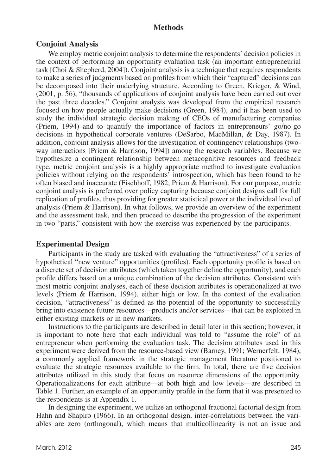## **Methods**

#### **Conjoint Analysis**

We employ metric conjoint analysis to determine the respondents' decision policies in the context of performing an opportunity evaluation task (an important entrepreneurial task [Choi & Shepherd, 2004]). Conjoint analysis is a technique that requires respondents to make a series of judgments based on profiles from which their "captured" decisions can be decomposed into their underlying structure. According to Green, Krieger, & Wind, (2001, p. 56), "thousands of applications of conjoint analysis have been carried out over the past three decades." Conjoint analysis was developed from the empirical research focused on how people actually make decisions (Green, 1984), and it has been used to study the individual strategic decision making of CEOs of manufacturing companies (Priem, 1994) and to quantify the importance of factors in entrepreneurs' go/no-go decisions in hypothetical corporate ventures (DeSarbo, MacMillan, & Day, 1987). In addition, conjoint analysis allows for the investigation of contingency relationships (twoway interactions [Priem & Harrison, 1994]) among the research variables. Because we hypothesize a contingent relationship between metacognitive resources and feedback type, metric conjoint analysis is a highly appropriate method to investigate evaluation policies without relying on the respondents' introspection, which has been found to be often biased and inaccurate (Fischhoff, 1982; Priem & Harrison). For our purpose, metric conjoint analysis is preferred over policy capturing because conjoint designs call for full replication of profiles, thus providing for greater statistical power at the individual level of analysis (Priem & Harrison). In what follows, we provide an overview of the experiment and the assessment task, and then proceed to describe the progression of the experiment in two "parts," consistent with how the exercise was experienced by the participants.

#### **Experimental Design**

Participants in the study are tasked with evaluating the "attractiveness" of a series of hypothetical "new venture" opportunities (profiles). Each opportunity profile is based on a discrete set of decision attributes (which taken together define the opportunity), and each profile differs based on a unique combination of the decision attributes. Consistent with most metric conjoint analyses, each of these decision attributes is operationalized at two levels (Priem & Harrison, 1994), either high or low. In the context of the evaluation decision, "attractiveness" is defined as the potential of the opportunity to successfully bring into existence future resources—products and/or services—that can be exploited in either existing markets or in new markets.

Instructions to the participants are described in detail later in this section; however, it is important to note here that each individual was told to "assume the role" of an entrepreneur when performing the evaluation task. The decision attributes used in this experiment were derived from the resource-based view (Barney, 1991; Wernerfelt, 1984), a commonly applied framework in the strategic management literature positioned to evaluate the strategic resources available to the firm. In total, there are five decision attributes utilized in this study that focus on resource dimensions of the opportunity. Operationalizations for each attribute—at both high and low levels—are described in Table 1. Further, an example of an opportunity profile in the form that it was presented to the respondents is at Appendix 1.

In designing the experiment, we utilize an orthogonal fractional factorial design from Hahn and Shapiro (1966). In an orthogonal design, inter-correlations between the variables are zero (orthogonal), which means that multicollinearity is not an issue and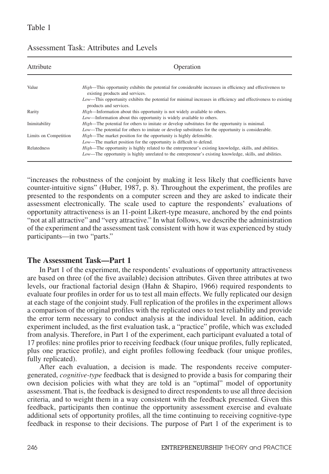## Table 1

| Attribute             | Operation                                                                                                                                             |  |  |  |  |  |
|-----------------------|-------------------------------------------------------------------------------------------------------------------------------------------------------|--|--|--|--|--|
|                       |                                                                                                                                                       |  |  |  |  |  |
| Value                 | <i>High</i> —This opportunity exhibits the potential for considerable increases in efficiency and effectiveness to<br>existing products and services. |  |  |  |  |  |
|                       | Low—This opportunity exhibits the potential for minimal increases in efficiency and effectiveness to existing<br>products and services.               |  |  |  |  |  |
| Rarity                | High-Information about this opportunity is not widely available to others.                                                                            |  |  |  |  |  |
|                       | <i>Low</i> —Information about this opportunity is widely available to others.                                                                         |  |  |  |  |  |
| Inimitability         | <i>High</i> —The potential for others to imitate or develop substitutes for the opportunity is minimal.                                               |  |  |  |  |  |
|                       | Low—The potential for others to imitate or develop substitutes for the opportunity is considerable.                                                   |  |  |  |  |  |
| Limits on Competition | <i>High</i> —The market position for the opportunity is highly defensible.                                                                            |  |  |  |  |  |
|                       | Low—The market position for the opportunity is difficult to defend.                                                                                   |  |  |  |  |  |
| Relatedness           | <i>High</i> —The opportunity is highly related to the entrepreneur's existing knowledge, skills, and abilities.                                       |  |  |  |  |  |
|                       | Low—The opportunity is highly unrelated to the entrepreneur's existing knowledge, skills, and abilities.                                              |  |  |  |  |  |

## Assessment Task: Attributes and Levels

"increases the robustness of the conjoint by making it less likely that coefficients have counter-intuitive signs" (Huber, 1987, p. 8). Throughout the experiment, the profiles are presented to the respondents on a computer screen and they are asked to indicate their assessment electronically. The scale used to capture the respondents' evaluations of opportunity attractiveness is an 11-point Likert-type measure, anchored by the end points "not at all attractive" and "very attractive." In what follows, we describe the administration of the experiment and the assessment task consistent with how it was experienced by study participants—in two "parts."

## **The Assessment Task—Part 1**

In Part 1 of the experiment, the respondents' evaluations of opportunity attractiveness are based on three (of the five available) decision attributes. Given three attributes at two levels, our fractional factorial design (Hahn & Shapiro, 1966) required respondents to evaluate four profiles in order for us to test all main effects. We fully replicated our design at each stage of the conjoint study. Full replication of the profiles in the experiment allows a comparison of the original profiles with the replicated ones to test reliability and provide the error term necessary to conduct analysis at the individual level. In addition, each experiment included, as the first evaluation task, a "practice" profile, which was excluded from analysis. Therefore, in Part 1 of the experiment, each participant evaluated a total of 17 profiles: nine profiles prior to receiving feedback (four unique profiles, fully replicated, plus one practice profile), and eight profiles following feedback (four unique profiles, fully replicated).

After each evaluation, a decision is made. The respondents receive computergenerated, *cognitive-type* feedback that is designed to provide a basis for comparing their own decision policies with what they are told is an "optimal" model of opportunity assessment. That is, the feedback is designed to direct respondents to use all three decision criteria, and to weight them in a way consistent with the feedback presented. Given this feedback, participants then continue the opportunity assessment exercise and evaluate additional sets of opportunity profiles, all the time continuing to receiving cognitive-type feedback in response to their decisions. The purpose of Part 1 of the experiment is to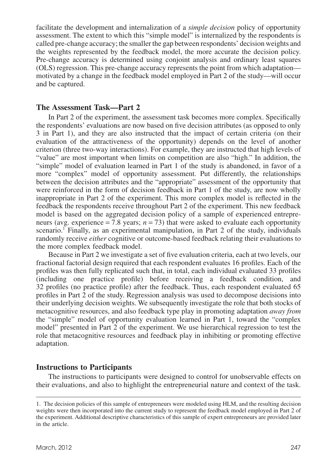facilitate the development and internalization of a *simple decision* policy of opportunity assessment. The extent to which this "simple model" is internalized by the respondents is called pre-change accuracy; the smaller the gap between respondents' decision weights and the weights represented by the feedback model, the more accurate the decision policy. Pre-change accuracy is determined using conjoint analysis and ordinary least squares (OLS) regression. This pre-change accuracy represents the point from which adaptation motivated by a change in the feedback model employed in Part 2 of the study—will occur and be captured.

## **The Assessment Task—Part 2**

In Part 2 of the experiment, the assessment task becomes more complex. Specifically the respondents' evaluations are now based on five decision attributes (as opposed to only 3 in Part 1), and they are also instructed that the impact of certain criteria (on their evaluation of the attractiveness of the opportunity) depends on the level of another criterion (three two-way interactions). For example, they are instructed that high levels of "value" are most important when limits on competition are also "high." In addition, the "simple" model of evaluation learned in Part 1 of the study is abandoned, in favor of a more "complex" model of opportunity assessment. Put differently, the relationships between the decision attributes and the "appropriate" assessment of the opportunity that were reinforced in the form of decision feedback in Part 1 of the study, are now wholly inappropriate in Part 2 of the experiment. This more complex model is reflected in the feedback the respondents receive throughout Part 2 of the experiment. This new feedback model is based on the aggregated decision policy of a sample of experienced entrepreneurs (avg. experience  $= 7.8$  years;  $n = 73$ ) that were asked to evaluate each opportunity scenario.<sup>1</sup> Finally, as an experimental manipulation, in Part 2 of the study, individuals randomly receive *either* cognitive or outcome-based feedback relating their evaluations to the more complex feedback model.

Because in Part 2 we investigate a set of five evaluation criteria, each at two levels, our fractional factorial design required that each respondent evaluates 16 profiles. Each of the profiles was then fully replicated such that, in total, each individual evaluated 33 profiles (including one practice profile) before receiving a feedback condition, and 32 profiles (no practice profile) after the feedback. Thus, each respondent evaluated 65 profiles in Part 2 of the study. Regression analysis was used to decompose decisions into their underlying decision weights. We subsequently investigate the role that both stocks of metacognitive resources, and also feedback type play in promoting adaptation *away from* the "simple" model of opportunity evaluation learned in Part 1, toward the "complex model" presented in Part 2 of the experiment. We use hierarchical regression to test the role that metacognitive resources and feedback play in inhibiting or promoting effective adaptation.

#### **Instructions to Participants**

The instructions to participants were designed to control for unobservable effects on their evaluations, and also to highlight the entrepreneurial nature and context of the task.

<sup>1.</sup> The decision policies of this sample of entrepreneurs were modeled using HLM, and the resulting decision weights were then incorporated into the current study to represent the feedback model employed in Part 2 of the experiment. Additional descriptive characteristics of this sample of expert entrepreneurs are provided later in the article.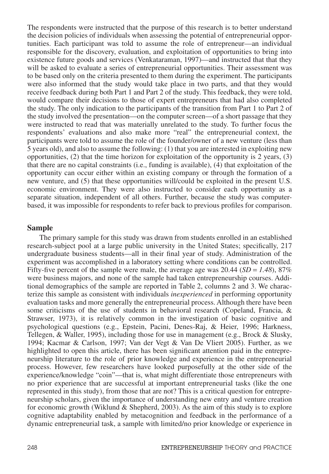The respondents were instructed that the purpose of this research is to better understand the decision policies of individuals when assessing the potential of entrepreneurial opportunities. Each participant was told to assume the role of entrepreneur—an individual responsible for the discovery, evaluation, and exploitation of opportunities to bring into existence future goods and services (Venkataraman, 1997)—and instructed that that they will be asked to evaluate a series of entrepreneurial opportunities. Their assessment was to be based only on the criteria presented to them during the experiment. The participants were also informed that the study would take place in two parts, and that they would receive feedback during both Part 1 and Part 2 of the study. This feedback, they were told, would compare their decisions to those of expert entrepreneurs that had also completed the study. The only indication to the participants of the transition from Part 1 to Part 2 of the study involved the presentation—on the computer screen—of a short passage that they were instructed to read that was materially unrelated to the study. To further focus the respondents' evaluations and also make more "real" the entrepreneurial context, the participants were told to assume the role of the founder/owner of a new venture (less than 5 years old), and also to assume the following: (1) that you are interested in exploiting new opportunities,  $(2)$  that the time horizon for exploitation of the opportunity is 2 years,  $(3)$ that there are no capital constraints (i.e., funding is available), (4) that exploitation of the opportunity can occur either within an existing company or through the formation of a new venture, and (5) that these opportunities will/could be exploited in the present U.S. economic environment. They were also instructed to consider each opportunity as a separate situation, independent of all others. Further, because the study was computerbased, it was impossible for respondents to refer back to previous profiles for comparison.

## **Sample**

The primary sample for this study was drawn from students enrolled in an established research-subject pool at a large public university in the United States; specifically, 217 undergraduate business students—all in their final year of study. Administration of the experiment was accomplished in a laboratory setting where conditions can be controlled. Fifty-five percent of the sample were male, the average age was  $20.44$  (*SD* = 1.48), 87% were business majors, and none of the sample had taken entrepreneurship courses. Additional demographics of the sample are reported in Table 2, columns 2 and 3. We characterize this sample as consistent with individuals *inexperienced* in performing opportunity evaluation tasks and more generally the entrepreneurial process. Although there have been some criticisms of the use of students in behavioral research (Copeland, Francia,  $\&$ Strawser, 1973), it is relatively common in the investigation of basic cognitive and psychological questions (e.g., Epstein, Pacini, Denes-Raj, & Heier, 1996; Harkness, Tellegen,  $\&$  Waller, 1995), including those for use in management (e.g., Brock  $\&$  Slusky, 1994; Kacmar & Carlson, 1997; Van der Vegt & Van De Vliert 2005). Further, as we highlighted to open this article, there has been significant attention paid in the entrepreneurship literature to the role of prior knowledge and experience in the entrepreneurial process. However, few researchers have looked purposefully at the other side of the experience/knowledge "coin"—that is, what might differentiate those entrepreneurs with no prior experience that are successful at important entrepreneurial tasks (like the one represented in this study), from those that are not? This is a critical question for entrepreneurship scholars, given the importance of understanding new entry and venture creation for economic growth (Wiklund  $\&$  Shepherd, 2003). As the aim of this study is to explore cognitive adaptability enabled by metacognition and feedback in the performance of a dynamic entrepreneurial task, a sample with limited/no prior knowledge or experience in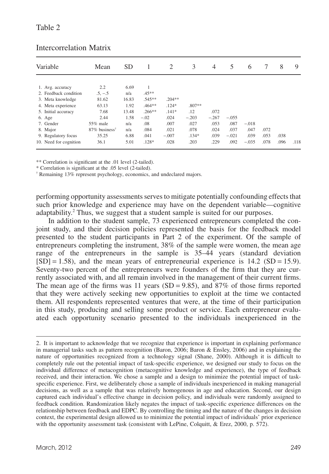| Variable               | Mean                      | <b>SD</b> |          | 2        | 3        | $\overline{4}$ | 5       | 6       |      | 8    | 9    |
|------------------------|---------------------------|-----------|----------|----------|----------|----------------|---------|---------|------|------|------|
|                        |                           |           |          |          |          |                |         |         |      |      |      |
| 1. Avg. accuracy       | 2.2                       | 6.69      | $.45**$  |          |          |                |         |         |      |      |      |
| 2. Feedback condition  | $.5, -.5$                 | n/a       |          |          |          |                |         |         |      |      |      |
| 3. Meta knowledge      | 81.62                     | 16.83     | $.545**$ | $.204**$ |          |                |         |         |      |      |      |
| 4. Meta experience     | 63.13                     | 1.92      | $.464**$ | $.124*$  | $.807**$ |                |         |         |      |      |      |
| 5. Initial accuracy    | 7.68                      | 13.48     | $.266**$ | $.141*$  | .12      | .072           |         |         |      |      |      |
| 6. Age                 | 2.44                      | 1.58      | $-.02$   | .024     | $-.203$  | $-.267$        | $-.055$ |         |      |      |      |
| 7. Gender              | 55% male                  | n/a       | .08      | .007     | .027     | .053           | .087    | $-.018$ |      |      |      |
| 8. Major               | 87% business <sup>†</sup> | n/a       | .084     | .021     | .078     | .024           | .037    | .047    | .072 |      |      |
| 9. Regulatory focus    | 35.25                     | 6.88      | .041     | $-.007$  | $.134*$  | .039           | $-.021$ | .039    | .053 | .038 |      |
| 10. Need for cognition | 36.1                      | 5.01      | $.128*$  | .028     | .203     | .229           | .092    | $-.035$ | .078 | .096 | .118 |

## Intercorrelation Matrix

\*\* Correlation is significant at the .01 level (2-tailed).

\* Correlation is significant at the .05 level (2-tailed).

† Remaining 13% represent psychology, economics, and undeclared majors.

performing opportunity assessments serves to mitigate potentially confounding effects that such prior knowledge and experience may have on the dependent variable—cognitive adaptability.<sup>2</sup> Thus, we suggest that a student sample is suited for our purposes.

In addition to the student sample, 73 experienced entrepreneurs completed the conjoint study, and their decision policies represented the basis for the feedback model presented to the student participants in Part 2 of the experiment. Of the sample of entrepreneurs completing the instrument, 38% of the sample were women, the mean age range of the entrepreneurs in the sample is 35–44 years (standard deviation  $[SD] = 1.58$ ), and the mean years of entrepreneurial experience is 14.2 (SD = 15.9). Seventy-two percent of the entrepreneurs were founders of the firm that they are currently associated with, and all remain involved in the management of their current firms. The mean age of the firms was 11 years (SD = 9.85), and 87% of those firms reported that they were actively seeking new opportunities to exploit at the time we contacted them. All respondents represented ventures that were, at the time of their participation in this study, producing and selling some product or service. Each entrepreneur evaluated each opportunity scenario presented to the individuals inexperienced in the

<sup>2.</sup> It is important to acknowledge that we recognize that experience is important in explaining performance in managerial tasks such as pattern recognition (Baron, 2006; Baron & Ensley, 2006) and in explaining the nature of opportunities recognized from a technology signal (Shane, 2000). Although it is difficult to completely rule out the potential impact of task-specific experience, we designed our study to focus on the individual difference of metacognition (metacognitive knowledge and experience), the type of feedback received, and their interaction. We chose a sample and a design to minimize the potential impact of taskspecific experience. First, we deliberately chose a sample of individuals inexperienced in making managerial decisions, as well as a sample that was relatively homogenous in age and education. Second, our design captured each individual's effective change in decision policy, and individuals were randomly assigned to feedback condition. Randomization likely negates the impact of task-specific experience differences on the relationship between feedback and EDPC. By controlling the timing and the nature of the changes in decision context, the experimental design allowed us to minimize the potential impact of individuals' prior experience with the opportunity assessment task (consistent with LePine, Colquitt, & Erez, 2000, p. 572).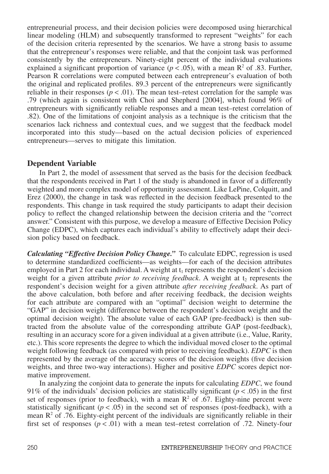entrepreneurial process, and their decision policies were decomposed using hierarchical linear modeling (HLM) and subsequently transformed to represent "weights" for each of the decision criteria represented by the scenarios. We have a strong basis to assume that the entrepreneur's responses were reliable, and that the conjoint task was performed consistently by the entrepreneurs. Ninety-eight percent of the individual evaluations explained a significant proportion of variance ( $p < .05$ ), with a mean R<sup>2</sup> of .83. Further, Pearson R correlations were computed between each entrepreneur's evaluation of both the original and replicated profiles. 89.3 percent of the entrepreneurs were significantly reliable in their responses ( $p < .01$ ). The mean test–retest correlation for the sample was .79 (which again is consistent with Choi and Shepherd [2004], which found 96% of entrepreneurs with significantly reliable responses and a mean test–retest correlation of .82). One of the limitations of conjoint analysis as a technique is the criticism that the scenarios lack richness and contextual cues, and we suggest that the feedback model incorporated into this study—based on the actual decision policies of experienced entrepreneurs—serves to mitigate this limitation.

#### **Dependent Variable**

In Part 2, the model of assessment that served as the basis for the decision feedback that the respondents received in Part 1 of the study is abandoned in favor of a differently weighted and more complex model of opportunity assessment. Like LePine, Colquitt, and Erez (2000), the change in task was reflected in the decision feedback presented to the respondents. This change in task required the study participants to adapt their decision policy to reflect the changed relationship between the decision criteria and the "correct answer." Consistent with this purpose, we develop a measure of Effective Decision Policy Change (EDPC), which captures each individual's ability to effectively adapt their decision policy based on feedback.

*Calculating "Effective Decision Policy Change."* To calculate EDPC, regression is used to determine standardized coefficients—as weights—for each of the decision attributes employed in Part 2 for each individual. A weight at  $t_1$  represents the respondent's decision weight for a given attribute *prior to receiving feedback*. A weight at  $t_2$  represents the respondent's decision weight for a given attribute *after receiving feedback*. As part of the above calculation, both before and after receiving feedback, the decision weights for each attribute are compared with an "optimal" decision weight to determine the "GAP" in decision weight (difference between the respondent's decision weight and the optimal decision weight). The absolute value of each GAP (pre-feedback) is then subtracted from the absolute value of the corresponding attribute GAP (post-feedback), resulting in an accuracy score for a given individual at a given attribute (i.e., Value, Rarity, etc.). This score represents the degree to which the individual moved closer to the optimal weight following feedback (as compared with prior to receiving feedback). *EDPC* is then represented by the average of the accuracy scores of the decision weights (five decision weights, and three two-way interactions). Higher and positive *EDPC* scores depict normative improvement.

In analyzing the conjoint data to generate the inputs for calculating *EDPC*, we found 91% of the individuals' decision policies are statistically significant  $(p < .05)$  in the first set of responses (prior to feedback), with a mean  $\mathbb{R}^2$  of .67. Eighty-nine percent were statistically significant  $(p < .05)$  in the second set of responses (post-feedback), with a mean  $\mathbb{R}^2$  of .76. Eighty-eight percent of the individuals are significantly reliable in their first set of responses  $(p < .01)$  with a mean test–retest correlation of .72. Ninety-four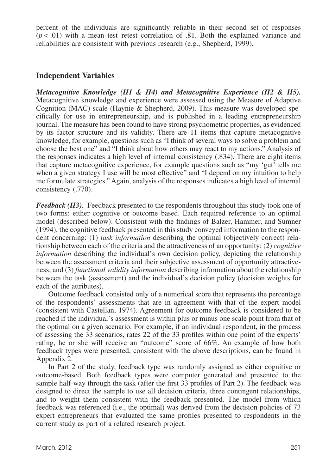percent of the individuals are significantly reliable in their second set of responses  $(p < .01)$  with a mean test–retest correlation of  $.81$ . Both the explained variance and reliabilities are consistent with previous research (e.g., Shepherd, 1999).

## **Independent Variables**

*Metacognitive Knowledge (H1 & H4) and Metacognitive Experience (H2 & H5).* Metacognitive knowledge and experience were assessed using the Measure of Adaptive Cognition (MAC) scale (Haynie & Shepherd, 2009). This measure was developed specifically for use in entrepreneurship, and is published in a leading entrepreneurship journal. The measure has been found to have strong psychometric properties, as evidenced by its factor structure and its validity. There are 11 items that capture metacognitive knowledge, for example, questions such as "I think of several ways to solve a problem and choose the best one" and "I think about how others may react to my actions." Analysis of the responses indicates a high level of internal consistency (.834). There are eight items that capture metacognitive experience, for example questions such as "my 'gut' tells me when a given strategy I use will be most effective" and "I depend on my intuition to help me formulate strategies." Again, analysis of the responses indicates a high level of internal consistency (.770).

*Feedback (H3).* Feedback presented to the respondents throughout this study took one of two forms: either cognitive or outcome based. Each required reference to an optimal model (described below). Consistent with the findings of Balzer, Hammer, and Sumner (1994), the cognitive feedback presented in this study conveyed information to the respondent concerning: (1) *task information* describing the optimal (objectively correct) relationship between each of the criteria and the attractiveness of an opportunity; (2) *cognitive information* describing the individual's own decision policy, depicting the relationship between the assessment criteria and their subjective assessment of opportunity attractiveness; and (3) *functional validity information* describing information about the relationship between the task (assessment) and the individual's decision policy (decision weights for each of the attributes).

Outcome feedback consisted only of a numerical score that represents the percentage of the respondents' assessments that are in agreement with that of the expert model (consistent with Castellan, 1974). Agreement for outcome feedback is considered to be reached if the individual's assessment is within plus or minus one scale point from that of the optimal on a given scenario. For example, if an individual respondent, in the process of assessing the 33 scenarios, rates 22 of the 33 profiles within one point of the experts' rating, he or she will receive an "outcome" score of 66%. An example of how both feedback types were presented, consistent with the above descriptions, can be found in Appendix 2.

In Part 2 of the study, feedback type was randomly assigned as either cognitive or outcome-based. Both feedback types were computer generated and presented to the sample half-way through the task (after the first 33 profiles of Part 2). The feedback was designed to direct the sample to use all decision criteria, three contingent relationships, and to weight them consistent with the feedback presented. The model from which feedback was referenced (i.e., the optimal) was derived from the decision policies of 73 expert entrepreneurs that evaluated the same profiles presented to respondents in the current study as part of a related research project.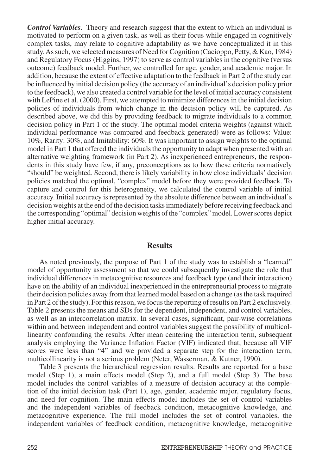*Control Variables.* Theory and research suggest that the extent to which an individual is motivated to perform on a given task, as well as their focus while engaged in cognitively complex tasks, may relate to cognitive adaptability as we have conceptualized it in this study.As such, we selected measures of Need for Cognition (Cacioppo, Petty, & Kao, 1984) and Regulatory Focus (Higgins, 1997) to serve as control variables in the cognitive (versus outcome) feedback model. Further, we controlled for age, gender, and academic major. In addition, because the extent of effective adaptation to the feedback in Part 2 of the study can be influenced by initial decision policy (the accuracy of an individual's decision policy prior to the feedback), we also created a control variable for the level of initial accuracy consistent with LePine et al. (2000). First, we attempted to minimize differences in the initial decision policies of individuals from which change in the decision policy will be captured. As described above, we did this by providing feedback to migrate individuals to a common decision policy in Part 1 of the study. The optimal model criteria weights (against which individual performance was compared and feedback generated) were as follows: Value: 10%, Rarity: 30%, and Imitability: 60%. It was important to assign weights to the optimal model in Part 1 that offered the individuals the opportunity to adapt when presented with an alternative weighting framework (in Part 2). As inexperienced entrepreneurs, the respondents in this study have few, if any, preconceptions as to how these criteria normatively "should" be weighted. Second, there is likely variability in how close individuals' decision policies matched the optimal, "complex" model before they were provided feedback. To capture and control for this heterogeneity, we calculated the control variable of initial accuracy. Initial accuracy is represented by the absolute difference between an individual's decision weights at the end of the decision tasks immediately before receiving feedback and the corresponding "optimal" decision weights of the "complex" model. Lower scores depict higher initial accuracy.

#### **Results**

As noted previously, the purpose of Part 1 of the study was to establish a "learned" model of opportunity assessment so that we could subsequently investigate the role that individual differences in metacognitive resources and feedback type (and their interaction) have on the ability of an individual inexperienced in the entrepreneurial process to migrate their decision policies away from that learned model based on a change (as the task required in Part 2 of the study). For this reason, we focus the reporting of results on Part 2 exclusively. Table 2 presents the means and SDs for the dependent, independent, and control variables, as well as an intercorrelation matrix. In several cases, significant, pair-wise correlations within and between independent and control variables suggest the possibility of multicollinearity confounding the results. After mean centering the interaction term, subsequent analysis employing the Variance Inflation Factor (VIF) indicated that, because all VIF scores were less than "4" and we provided a separate step for the interaction term, multicollinearity is not a serious problem (Neter, Wasserman, & Kutner, 1990).

Table 3 presents the hierarchical regression results. Results are reported for a base model (Step 1), a main effects model (Step 2), and a full model (Step 3). The base model includes the control variables of a measure of decision accuracy at the completion of the initial decision task (Part 1), age, gender, academic major, regulatory focus, and need for cognition. The main effects model includes the set of control variables and the independent variables of feedback condition, metacognitive knowledge, and metacognitive experience. The full model includes the set of control variables, the independent variables of feedback condition, metacognitive knowledge, metacognitive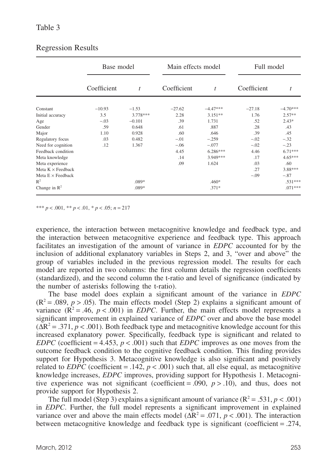|                          | Base model  |          | Main effects model |            | Full model  |            |  |
|--------------------------|-------------|----------|--------------------|------------|-------------|------------|--|
|                          | Coefficient | t        | Coefficient        | t          | Coefficient | t          |  |
| Constant                 | $-10.93$    | $-1.53$  | $-27.62$           | $-4.47***$ | $-27.18$    | $-4.70***$ |  |
| Initial accuracy         | 3.5         | 3.778*** | 2.28               | $3.151**$  | 1.76        | $2.57**$   |  |
| Age                      | $-.03$      | $-0.101$ | .39                | 1.731      | .52         | $2.43*$    |  |
| Gender                   | .59         | 0.648    | .61                | .887       | .28         | .43        |  |
| Major                    | 1.10        | 0.928    | .60                | .646       | .39         | .45        |  |
| Regulatory focus         | .03         | 0.482    | $-.01$             | $-.259$    | $-.02$      | $-.32$     |  |
| Need for cognition       | .12         | 1.367    | $-.06$             | $-.077$    | $-.02$      | $-.23$     |  |
| Feedback condition       |             |          | 4.45               | $6.286***$ | 4.46        | $6.71***$  |  |
| Meta knowledge           |             |          | .14                | 3.949***   | .17         | $4.65***$  |  |
| Meta experience          |             |          | .09                | 1.624      | .03         | .60        |  |
| Meta $K \times$ Feedback |             |          |                    |            | .27         | 3.88***    |  |
| Meta $E \times$ Feedback |             |          |                    |            | $-.09$      | $-.87$     |  |
| $\mathbb{R}^2$           |             | .089*    |                    | $.460*$    |             | $.531***$  |  |
| Change in $\mathbb{R}^2$ |             | .089*    |                    | $.371*$    |             | $.071***$  |  |

## Regression Results

\*\*\*  $p < .001$ , \*\*  $p < .01$ , \*  $p < .05$ ;  $n = 217$ 

experience, the interaction between metacognitive knowledge and feedback type, and the interaction between metacognitive experience and feedback type. This approach facilitates an investigation of the amount of variance in *EDPC* accounted for by the inclusion of additional explanatory variables in Steps 2, and 3, "over and above" the group of variables included in the previous regression model. The results for each model are reported in two columns: the first column details the regression coefficients (standardized), and the second column the t-ratio and level of significance (indicated by the number of asterisks following the t-ratio).

The base model does explain a significant amount of the variance in *EDPC*  $(R^2 = .089, p > .05)$ . The main effects model (Step 2) explains a significant amount of variance  $(R^2 = .46, p < .001)$  in *EDPC*. Further, the main effects model represents a significant improvement in explained variance of *EDPC* over and above the base model  $(\Delta R^2 = .371, p < .001)$ . Both feedback type and metacognitive knowledge account for this increased explanatory power. Specifically, feedback type is significant and related to *EDPC* (coefficient = 4.453, *p* < .001) such that *EDPC* improves as one moves from the outcome feedback condition to the cognitive feedback condition. This finding provides support for Hypothesis 3. Metacognitive knowledge is also significant and positively related to *EDPC* (coefficient = .142,  $p < .001$ ) such that, all else equal, as metacognitive knowledge increases, *EDPC* improves, providing support for Hypothesis 1. Metacognitive experience was not significant (coefficient  $= .090, p > .10$ ), and thus, does not provide support for Hypothesis 2.

The full model (Step 3) explains a significant amount of variance  $(R^2 = .531, p < .001)$ in *EDPC*. Further, the full model represents a significant improvement in explained variance over and above the main effects model ( $\Delta R^2 = .071$ ,  $p < .001$ ). The interaction between metacognitive knowledge and feedback type is significant (coefficient = .274,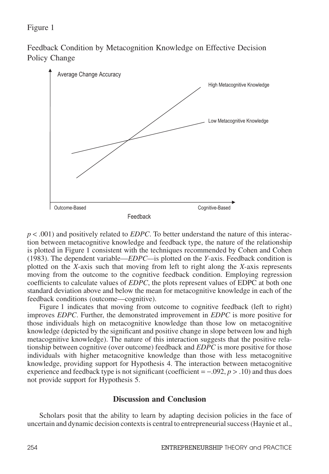#### Figure 1

Feedback Condition by Metacognition Knowledge on Effective Decision Policy Change



*p* < .001) and positively related to *EDPC*. To better understand the nature of this interaction between metacognitive knowledge and feedback type, the nature of the relationship is plotted in Figure 1 consistent with the techniques recommended by Cohen and Cohen (1983). The dependent variable—*EDPC—*is plotted on the *Y*-axis. Feedback condition is plotted on the *X*-axis such that moving from left to right along the *X*-axis represents moving from the outcome to the cognitive feedback condition. Employing regression coefficients to calculate values of *EDPC*, the plots represent values of EDPC at both one standard deviation above and below the mean for metacognitive knowledge in each of the feedback conditions (outcome—cognitive).

Figure 1 indicates that moving from outcome to cognitive feedback (left to right) improves *EDPC*. Further, the demonstrated improvement in *EDPC* is more positive for those individuals high on metacognitive knowledge than those low on metacognitive knowledge (depicted by the significant and positive change in slope between low and high metacognitive knowledge). The nature of this interaction suggests that the positive relationship between cognitive (over outcome) feedback and *EDPC* is more positive for those individuals with higher metacognitive knowledge than those with less metacognitive knowledge, providing support for Hypothesis 4. The interaction between metacognitive experience and feedback type is not significant (coefficient  $=$  -.092,  $p > .10$ ) and thus does not provide support for Hypothesis 5.

#### **Discussion and Conclusion**

Scholars posit that the ability to learn by adapting decision policies in the face of uncertain and dynamic decision contexts is central to entrepreneurial success (Haynie et al.,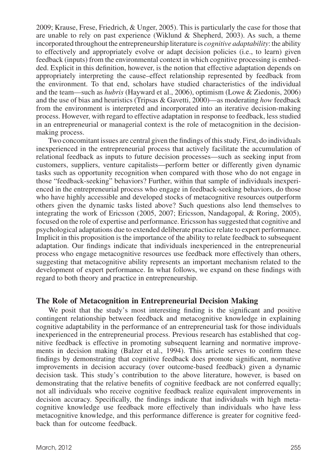2009; Krause, Frese, Friedrich, & Unger, 2005). This is particularly the case for those that are unable to rely on past experience (Wiklund  $&$  Shepherd, 2003). As such, a theme incorporated throughout the entrepreneurship literature is *cognitive adaptability*: the ability to effectively and appropriately evolve or adapt decision policies (i.e., to learn) given feedback (inputs) from the environmental context in which cognitive processing is embedded. Explicit in this definition, however, is the notion that effective adaptation depends on appropriately interpreting the cause–effect relationship represented by feedback from the environment. To that end, scholars have studied characteristics of the individual and the team—such as *hubris* (Hayward et al., 2006), optimism (Lowe & Ziedonis, 2006) and the use of bias and heuristics (Tripsas & Gavetti, 2000)—as moderating *how* feedback from the environment is interpreted and incorporated into an iterative decision-making process. However, with regard to effective adaptation in response to feedback, less studied in an entrepreneurial or managerial context is the role of metacognition in the decisionmaking process.

Two concomitant issues are central given the findings of this study. First, do individuals inexperienced in the entrepreneurial process that actively facilitate the accumulation of relational feedback as inputs to future decision processes—such as seeking input from customers, suppliers, venture capitalists—perform better or differently given dynamic tasks such as opportunity recognition when compared with those who do not engage in those "feedback-seeking" behaviors? Further, within that sample of individuals inexperienced in the entrepreneurial process who engage in feedback-seeking behaviors, do those who have highly accessible and developed stocks of metacognitive resources outperform others given the dynamic tasks listed above? Such questions also lend themselves to integrating the work of Ericsson (2005, 2007; Ericsson, Nandagopal, & Roring, 2005), focused on the role of expertise and performance. Ericsson has suggested that cognitive and psychological adaptations due to extended deliberate practice relate to expert performance. Implicit in this proposition is the importance of the ability to relate feedback to subsequent adaptation. Our findings indicate that individuals inexperienced in the entrepreneurial process who engage metacognitive resources use feedback more effectively than others, suggesting that metacognitive ability represents an important mechanism related to the development of expert performance. In what follows, we expand on these findings with regard to both theory and practice in entrepreneurship.

## **The Role of Metacognition in Entrepreneurial Decision Making**

We posit that the study's most interesting finding is the significant and positive contingent relationship between feedback and metacognitive knowledge in explaining cognitive adaptability in the performance of an entrepreneurial task for those individuals inexperienced in the entrepreneurial process. Previous research has established that cognitive feedback is effective in promoting subsequent learning and normative improvements in decision making (Balzer et al., 1994). This article serves to confirm these findings by demonstrating that cognitive feedback does promote significant, normative improvements in decision accuracy (over outcome-based feedback) given a dynamic decision task. This study's contribution to the above literature, however, is based on demonstrating that the relative benefits of cognitive feedback are not conferred equally; not all individuals who receive cognitive feedback realize equivalent improvements in decision accuracy. Specifically, the findings indicate that individuals with high metacognitive knowledge use feedback more effectively than individuals who have less metacognitive knowledge, and this performance difference is greater for cognitive feedback than for outcome feedback.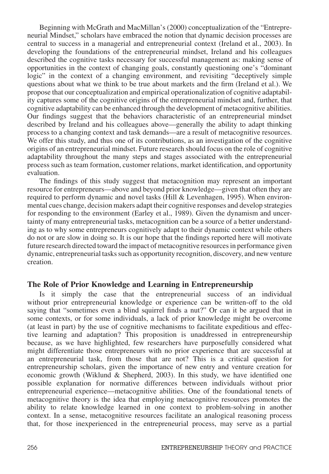Beginning with McGrath and MacMillan's (2000) conceptualization of the "Entrepreneurial Mindset," scholars have embraced the notion that dynamic decision processes are central to success in a managerial and entrepreneurial context (Ireland et al., 2003). In developing the foundations of the entrepreneurial mindset, Ireland and his colleagues described the cognitive tasks necessary for successful management as: making sense of opportunities in the context of changing goals, constantly questioning one's "dominant logic" in the context of a changing environment, and revisiting "deceptively simple questions about what we think to be true about markets and the firm (Ireland et al.). We propose that our conceptualization and empirical operationalization of cognitive adaptability captures some of the cognitive origins of the entrepreneurial mindset and, further, that cognitive adaptability can be enhanced through the development of metacognitive abilities. Our findings suggest that the behaviors characteristic of an entrepreneurial mindset described by Ireland and his colleagues above—generally the ability to adapt thinking process to a changing context and task demands—are a result of metacognitive resources. We offer this study, and thus one of its contributions, as an investigation of the cognitive origins of an entrepreneurial mindset. Future research should focus on the role of cognitive adaptability throughout the many steps and stages associated with the entrepreneurial process such as team formation, customer relations, market identification, and opportunity evaluation.

The findings of this study suggest that metacognition may represent an important resource for entrepreneurs—above and beyond prior knowledge—given that often they are required to perform dynamic and novel tasks (Hill & Levenhagen, 1995). When environmental cues change, decision makers adapt their cognitive responses and develop strategies for responding to the environment (Earley et al., 1989). Given the dynamism and uncertainty of many entrepreneurial tasks, metacognition can be a source of a better understanding as to why some entrepreneurs cognitively adapt to their dynamic context while others do not or are slow in doing so. It is our hope that the findings reported here will motivate future research directed toward the impact of metacognitive resources in performance given dynamic, entrepreneurial tasks such as opportunity recognition, discovery, and new venture creation.

#### **The Role of Prior Knowledge and Learning in Entrepreneurship**

Is it simply the case that the entrepreneurial success of an individual without prior entrepreneurial knowledge or experience can be written-off to the old saying that "sometimes even a blind squirrel finds a nut?" Or can it be argued that in some contexts, or for some individuals, a lack of prior knowledge might be overcome (at least in part) by the use of cognitive mechanisms to facilitate expeditious and effective learning and adaptation? This proposition is unaddressed in entrepreneurship because, as we have highlighted, few researchers have purposefully considered what might differentiate those entrepreneurs with no prior experience that are successful at an entrepreneurial task, from those that are not? This is a critical question for entrepreneurship scholars, given the importance of new entry and venture creation for economic growth (Wiklund & Shepherd, 2003). In this study, we have identified one possible explanation for normative differences between individuals without prior entrepreneurial experience—metacognitive abilities. One of the foundational tenets of metacognitive theory is the idea that employing metacognitive resources promotes the ability to relate knowledge learned in one context to problem-solving in another context. In a sense, metacognitive resources facilitate an analogical reasoning process that, for those inexperienced in the entrepreneurial process, may serve as a partial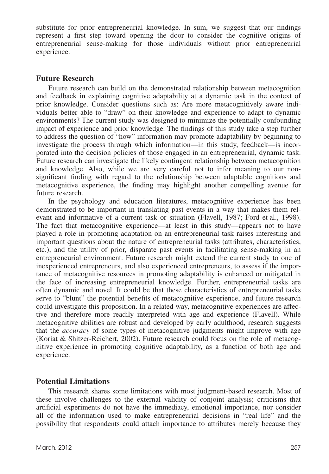substitute for prior entrepreneurial knowledge. In sum, we suggest that our findings represent a first step toward opening the door to consider the cognitive origins of entrepreneurial sense-making for those individuals without prior entrepreneurial experience.

## **Future Research**

Future research can build on the demonstrated relationship between metacognition and feedback in explaining cognitive adaptability at a dynamic task in the context of prior knowledge. Consider questions such as: Are more metacognitively aware individuals better able to "draw" on their knowledge and experience to adapt to dynamic environments? The current study was designed to minimize the potentially confounding impact of experience and prior knowledge. The findings of this study take a step further to address the question of "how" information may promote adaptability by beginning to investigate the process through which information—in this study, feedback—is incorporated into the decision policies of those engaged in an entrepreneurial, dynamic task. Future research can investigate the likely contingent relationship between metacognition and knowledge. Also, while we are very careful not to infer meaning to our nonsignificant finding with regard to the relationship between adaptable cognitions and metacognitive experience, the finding may highlight another compelling avenue for future research.

In the psychology and education literatures, metacognitive experience has been demonstrated to be important in translating past events in a way that makes them relevant and informative of a current task or situation (Flavell, 1987; Ford et al., 1998). The fact that metacognitive experience—at least in this study—appears not to have played a role in promoting adaptation on an entrepreneurial task raises interesting and important questions about the nature of entrepreneurial tasks (attributes, characteristics, etc.), and the utility of prior, disparate past events in facilitating sense-making in an entrepreneurial environment. Future research might extend the current study to one of inexperienced entrepreneurs, and also experienced entrepreneurs, to assess if the importance of metacognitive resources in promoting adaptability is enhanced or mitigated in the face of increasing entrepreneurial knowledge. Further, entrepreneurial tasks are often dynamic and novel. It could be that these characteristics of entrepreneurial tasks serve to "blunt" the potential benefits of metacognitive experience, and future research could investigate this proposition. In a related way, metacognitive experiences are affective and therefore more readily interpreted with age and experience (Flavell). While metacognitive abilities are robust and developed by early adulthood, research suggests that the *accuracy* of some types of metacognitive judgments might improve with age (Koriat & Shitzer-Reichert, 2002). Future research could focus on the role of metacognitive experience in promoting cognitive adaptability, as a function of both age and experience.

## **Potential Limitations**

This research shares some limitations with most judgment-based research. Most of these involve challenges to the external validity of conjoint analysis; criticisms that artificial experiments do not have the immediacy, emotional importance, nor consider all of the information used to make entrepreneurial decisions in "real life" and the possibility that respondents could attach importance to attributes merely because they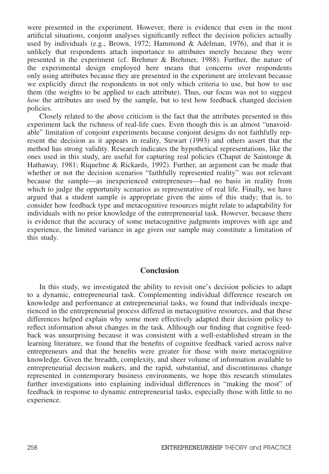were presented in the experiment. However, there is evidence that even in the most artificial situations, conjoint analyses significantly reflect the decision policies actually used by individuals (e.g., Brown, 1972; Hammond & Adelman, 1976), and that it is unlikely that respondents attach importance to attributes merely because they were presented in the experiment (cf. Brehmer & Brehmer, 1988). Further, the nature of the experimental design employed here means that concerns over respondents only using attributes because they are presented in the experiment are irrelevant because we explicitly direct the respondents in not only which criteria to use, but how to use them (the weights to be applied to each attribute). Thus, our focus was not to suggest *how* the attributes are used by the sample, but to test how feedback changed decision policies.

Closely related to the above criticism is the fact that the attributes presented in this experiment lack the richness of real-life cues. Even though this is an almost "unavoidable" limitation of conjoint experiments because conjoint designs do not faithfully represent the decision as it appears in reality, Stewart (1993) and others assert that the method has strong validity. Research indicates the hypothetical representations, like the ones used in this study, are useful for capturing real policies (Chaput de Saintonge  $\&$ Hathaway, 1981; Riquelme & Rickards, 1992). Further, an argument can be made that whether or not the decision scenarios "faithfully represented reality" was not relevant because the sample—as inexperienced entrepreneurs—had no basis in reality from which to judge the opportunity scenarios as representative of real life. Finally, we have argued that a student sample is appropriate given the aims of this study; that is, to consider how feedback type and metacognitive resources might relate to adaptability for individuals with no prior knowledge of the entrepreneurial task. However, because there is evidence that the accuracy of some metacognitive judgments improves with age and experience, the limited variance in age given our sample may constitute a limitation of this study.

#### **Conclusion**

In this study, we investigated the ability to revisit one's decision policies to adapt to a dynamic, entrepreneurial task. Complementing individual difference research on knowledge and performance at entrepreneurial tasks, we found that individuals inexperienced in the entrepreneurial process differed in metacognitive resources, and that these differences helped explain why some more effectively adapted their decision policy to reflect information about changes in the task. Although our finding that cognitive feedback was unsurprising because it was consistent with a well-established stream in the learning literature, we found that the benefits of cognitive feedback varied across naïve entrepreneurs and that the benefits were greater for those with more metacognitive knowledge. Given the breadth, complexity, and sheer volume of information available to entrepreneurial decision makers, and the rapid, substantial, and discontinuous change represented in contemporary business environments, we hope this research stimulates further investigations into explaining individual differences in "making the most" of feedback in response to dynamic entrepreneurial tasks, especially those with little to no experience.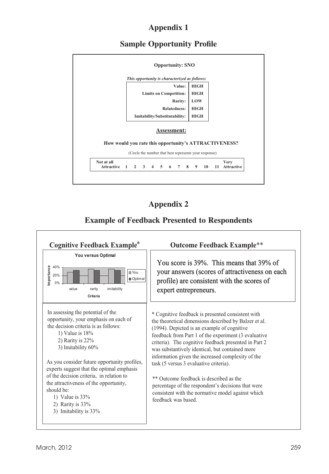# **Appendix 1**

# **Sample Opportunity Profile**



**Appendix 2**

# **Example of Feedback Presented to Respondents**

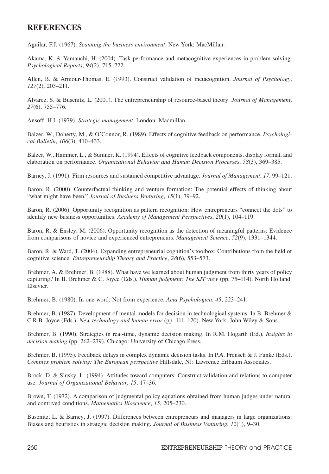## **REFERENCES**

Aguilar, F.J. (1967). *Scanning the business environment*. New York: MacMillan.

Akama, K. & Yamauchi, H. (2004). Task performance and metacognitive experiences in problem-solving. *Psychological Reports*, *94*(2), 715–722.

Allen, B. & Armour-Thomas, E. (1993). Construct validation of metacognition. *Journal of Psychology*, *127*(2), 203–211.

Alvarez, S. & Busenitz, L. (2001). The entrepreneurship of resource-based theory. *Journal of Management*, *27*(6), 755–776.

Ansoff, H.I. (1979). *Strategic management*. London: Macmillan.

Balzer, W., Doherty, M., & O'Connor, R. (1989). Effects of cognitive feedback on performance. *Psychological Bulletin*, *106*(3), 410–433.

Balzer, W., Hammer, L., & Sumner, K. (1994). Effects of cognitive feedback components, display format, and elaboration on performance. *Organizational Behavior and Human Decision Processes*, *58*(3), 369–385.

Barney, J. (1991). Firm resources and sustained competitive advantage. *Journal of Management*, *17*, 99–121.

Baron, R. (2000). Counterfactual thinking and venture formation: The potential effects of thinking about "what might have been." *Journal of Business Venturing*, *15*(1), 79–92.

Baron, R. (2006). Opportunity recognition as pattern recognition: How entrepreneurs "connect the dots" to identify new business opportunities. *Academy of Management Perspectives*, *20*(1), 104–119.

Baron, R. & Ensley, M. (2006). Opportunity recognition as the detection of meaningful patterns: Evidence from comparisons of novice and experienced entrepreneurs. *Management Science*, *52*(9), 1331–1344.

Baron, R. & Ward, T. (2004). Expanding entrepreneurial cognition's toolbox: Contributions from the field of cognitive science. *Entrepreneurship Theory and Practice*, *28*(6), 553–573.

Brehmer, A. & Brehmer, B. (1988). What have we learned about human judgment from thirty years of policy capturing? In B. Brehmer & C. Joyce (Eds.), *Human judgment: The SJT view* (pp. 75–114). North Holland: Elsevier.

Brehmer, B. (1980). In one word: Not from experience. *Acta Psychologica*, *45*, 223–241.

Brehmer, B. (1987). Development of mental models for decision in technological systems. In B. Brehmer & C.R.B. Joyce (Eds.), *New technology and human error* (pp. 111–120). New York: John Wiley & Sons.

Brehmer, B. (1990). Strategies in real-time, dynamic decision making. In R.M. Hogarth (Ed.), *Insights in decision making* (pp. 262–279). Chicago: University of Chicago Press.

Brehmer, B. (1995). Feedback delays in complex dynamic decision tasks. In P.A. Frensch & J. Funke (Eds.), *Complex problem solving: The European perspective* Hillsdale, NJ: Lawrence Erlbaum Associates.

Brock, D. & Slusky, L. (1994). Attitudes toward computers: Construct validation and relations to computer use. *Journal of Organizational Behavior*, *15*, 17–36.

Brown, T. (1972). A comparison of judgmental policy equations obtained from human judges under natural and contrived conditions. *Mathematics Bioscience*, *15*, 205–230.

Busenitz, L. & Barney, J. (1997). Differences between entrepreneurs and managers in large organizations: Biases and heuristics in strategic decision making. *Journal of Business Venturing*, *12*(1), 9–30.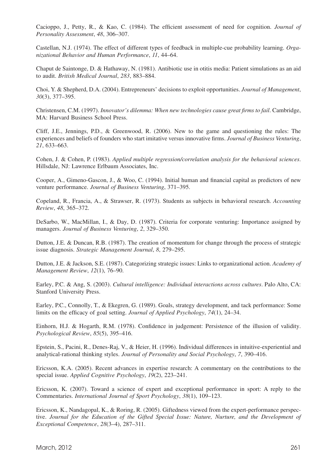Cacioppo, J., Petty, R., & Kao, C. (1984). The efficient assessment of need for cognition. *Journal of Personality Assessment*, *48*, 306–307.

Castellan, N.J. (1974). The effect of different types of feedback in multiple-cue probability learning. *Organizational Behavior and Human Performance*, *11*, 44–64.

Chaput de Saintonge, D. & Hathaway, N. (1981). Antibiotic use in otitis media: Patient simulations as an aid to audit. *British Medical Journal*, *283*, 883–884.

Choi, Y. & Shepherd, D.A. (2004). Entrepreneurs' decisions to exploit opportunities. *Journal of Management*, *30*(3), 377–395.

Christensen, C.M. (1997). *Innovator's dilemma: When new technologies cause great firms to fail*. Cambridge, MA: Harvard Business School Press.

Cliff, J.E., Jennings, P.D., & Greenwood, R. (2006). New to the game and questioning the rules: The experiences and beliefs of founders who start imitative versus innovative firms. *Journal of Business Venturing*, *21*, 633–663.

Cohen, J. & Cohen, P. (1983). *Applied multiple regression/correlation analysis for the behavioral sciences*. Hillsdale, NJ: Lawrence Erlbaum Associates, Inc.

Cooper, A., Gimeno-Gascon, J., & Woo, C. (1994). Initial human and financial capital as predictors of new venture performance. *Journal of Business Venturing*, 371–395.

Copeland, R., Francia, A., & Strawser, R. (1973). Students as subjects in behavioral research. *Accounting Review*, *48*, 365–372.

DeSarbo, W., MacMillan, I., & Day, D. (1987). Criteria for corporate venturing: Importance assigned by managers. *Journal of Business Venturing*, *2*, 329–350.

Dutton, J.E. & Duncan, R.B. (1987). The creation of momentum for change through the process of strategic issue diagnosis. *Strategic Management Journal*, *8*, 279–295.

Dutton, J.E. & Jackson, S.E. (1987). Categorizing strategic issues: Links to organizational action. *Academy of Management Review*, *12*(1), 76–90.

Earley, P.C. & Ang, S. (2003). *Cultural intelligence: Individual interactions across cultures*. Palo Alto, CA: Stanford University Press.

Earley, P.C., Connolly, T., & Ekegren, G. (1989). Goals, strategy development, and tack performance: Some limits on the efficacy of goal setting. *Journal of Applied Psychology*, *74*(1), 24–34.

Einhorn, H.J. & Hogarth, R.M. (1978). Confidence in judgement: Persistence of the illusion of validity. *Psychological Review*, *85*(5), 395–416.

Epstein, S., Pacini, R., Denes-Raj, V., & Heier, H. (1996). Individual differences in intuitive-experiential and analytical-rational thinking styles. *Journal of Personality and Social Psychology*, *7*, 390–416.

Ericsson, K.A. (2005). Recent advances in expertise research: A commentary on the contributions to the special issue. *Applied Cognitive Psychology*, *19*(2), 223–241.

Ericsson, K. (2007). Toward a science of expert and exceptional performance in sport: A reply to the Commentaries. *International Journal of Sport Psychology*, *38*(1), 109–123.

Ericsson, K., Nandagopal, K., & Roring, R. (2005). Giftedness viewed from the expert-performance perspective. *Journal for the Education of the Gifted Special Issue: Nature, Nurture, and the Development of Exceptional Competence*, *28*(3–4), 287–311.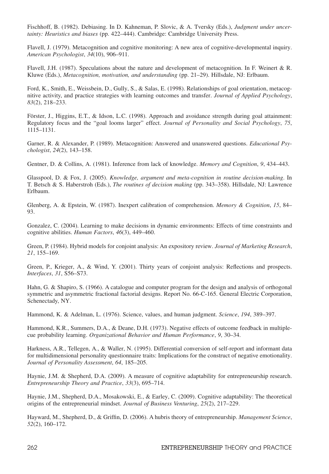Fischhoff, B. (1982). Debiasing. In D. Kahneman, P. Slovic, & A. Tversky (Eds.), *Judgment under uncertainty: Heuristics and biases* (pp. 422–444). Cambridge: Cambridge University Press.

Flavell, J. (1979). Metacognition and cognitive monitoring: A new area of cognitive-developmental inquiry. *American Psychologist*, *34*(10), 906–911.

Flavell, J.H. (1987). Speculations about the nature and development of metacognition. In F. Weinert & R. Kluwe (Eds.), *Metacognition, motivation, and understanding* (pp. 21–29). Hillsdale, NJ: Erlbaum.

Ford, K., Smith, E., Weissbein, D., Gully, S., & Salas, E. (1998). Relationships of goal orientation, metacognitive activity, and practice strategies with learning outcomes and transfer. *Journal of Applied Psychology*, *83*(2), 218–233.

Förster, J., Higgins, E.T., & Idson, L.C. (1998). Approach and avoidance strength during goal attainment: Regulatory focus and the "goal looms larger" effect. *Journal of Personality and Social Psychology*, *75*, 1115–1131.

Garner, R. & Alexander, P. (1989). Metacognition: Answered and unanswered questions. *Educational Psychologist*, *24*(2), 143–158.

Gentner, D. & Collins, A. (1981). Inference from lack of knowledge. *Memory and Cognition*, *9*, 434–443.

Glasspool, D. & Fox, J. (2005). *Knowledge, argument and meta-cognition in routine decision-making*. In T. Betsch & S. Haberstroh (Eds.), *The routines of decision making* (pp. 343–358). Hillsdale, NJ: Lawrence Erlbaum.

Glenberg, A. & Epstein, W. (1987). Inexpert calibration of comprehension. *Memory & Cognition*, *15*, 84– 93.

Gonzalez, C. (2004). Learning to make decisions in dynamic environments: Effects of time constraints and cognitive abilities. *Human Factors*, *46*(3), 449–460.

Green, P. (1984). Hybrid models for conjoint analysis: An expository review. *Journal of Marketing Research*, *21*, 155–169.

Green, P., Krieger, A., & Wind, Y. (2001). Thirty years of conjoint analysis: Reflections and prospects. *Interfaces*, *31*, S56–S73.

Hahn, G. & Shapiro, S. (1966). A catalogue and computer program for the design and analysis of orthogonal symmetric and asymmetric fractional factorial designs. Report No. 66-C-165. General Electric Corporation, Schenectady, NY.

Hammond, K. & Adelman, L. (1976). Science, values, and human judgment. *Science*, *194*, 389–397.

Hammond, K.R., Summers, D.A., & Deane, D.H. (1973). Negative effects of outcome feedback in multiplecue probability learning. *Organizational Behavior and Human Performance*, *9*, 30–34.

Harkness, A.R., Tellegen, A., & Waller, N. (1995). Differential conversion of self-report and informant data for multidimensional personality questionnaire traits: Implications for the construct of negative emotionality. *Journal of Personality Assessment*, *64*, 185–205.

Haynie, J.M. & Shepherd, D.A. (2009). A measure of cognitive adaptability for entrepreneurship research. *Entrepreneurship Theory and Practice*, *33*(3), 695–714.

Haynie, J.M., Shepherd, D.A., Mosakowski, E., & Earley, C. (2009). Cognitive adaptability: The theoretical origins of the entrepreneurial mindset. *Journal of Business Venturing*, *25*(2), 217–229.

Hayward, M., Shepherd, D., & Griffin, D. (2006). A hubris theory of entrepreneurship. *Management Science*, *52*(2), 160–172.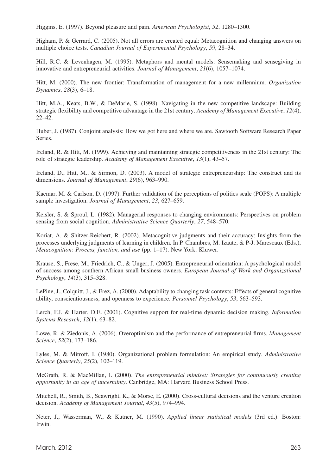Higgins, E. (1997). Beyond pleasure and pain. *American Psychologist*, *52*, 1280–1300.

Higham, P. & Gerrard, C. (2005). Not all errors are created equal: Metacognition and changing answers on multiple choice tests. *Canadian Journal of Experimental Psychology*, *59*, 28–34.

Hill, R.C. & Levenhagen, M. (1995). Metaphors and mental models: Sensemaking and sensegiving in innovative and entrepreneurial activities. *Journal of Management*, *21*(6), 1057–1074.

Hitt, M. (2000). The new frontier: Transformation of management for a new millennium. *Organization Dynamics*, *28*(3), 6–18.

Hitt, M.A., Keats, B.W., & DeMarie, S. (1998). Navigating in the new competitive landscape: Building strategic flexibility and competitive advantage in the 21st century. *Academy of Management Executive*, *12*(4), 22–42.

Huber, J. (1987). Conjoint analysis: How we got here and where we are. Sawtooth Software Research Paper Series.

Ireland, R. & Hitt, M. (1999). Achieving and maintaining strategic competitiveness in the 21st century: The role of strategic leadership. *Academy of Management Executive*, *13*(1), 43–57.

Ireland, D., Hitt, M., & Sirmon, D. (2003). A model of strategic entrepreneurship: The construct and its dimensions. *Journal of Management*, *29*(6), 963–990.

Kacmar, M. & Carlson, D. (1997). Further validation of the perceptions of politics scale (POPS): A multiple sample investigation. *Journal of Management*, *23*, 627–659.

Keisler, S. & Sproul, L. (1982). Managerial responses to changing environments: Perspectives on problem sensing from social cognition. *Administrative Science Quarterly*, *27*, 548–570.

Koriat, A. & Shitzer-Reichert, R. (2002). Metacognitive judgments and their accuracy: Insights from the processes underlying judgments of learning in children. In P. Chambres, M. Izaute, & P-J. Marescaux (Eds.), *Metacognition: Process, function, and use* (pp. 1–17). New York: Kluwer.

Krause, S., Frese, M., Friedrich, C., & Unger, J. (2005). Entrepreneurial orientation: A psychological model of success among southern African small business owners. *European Journal of Work and Organizational Psychology*, *14*(3), 315–328.

LePine, J., Colquitt, J., & Erez, A. (2000). Adaptability to changing task contexts: Effects of general cognitive ability, conscientiousness, and openness to experience. *Personnel Psychology*, *53*, 563–593.

Lerch, F.J. & Harter, D.E. (2001). Cognitive support for real-time dynamic decision making. *Information Systems Research*, *12*(1), 63–82.

Lowe, R. & Ziedonis, A. (2006). Overoptimism and the performance of entrepreneurial firms. *Management Science*, *52*(2), 173–186.

Lyles, M. & Mitroff, I. (1980). Organizational problem formulation: An empirical study. *Administrative Science Quarterly*, *25*(2), 102–119.

McGrath, R. & MacMillan, I. (2000). *The entrepreneurial mindset: Strategies for continuously creating opportunity in an age of uncertainty*. Canbridge, MA: Harvard Business School Press.

Mitchell, R., Smith, B., Seawright, K., & Morse, E. (2000). Cross-cultural decisions and the venture creation decision. *Academy of Management Journal*, *43*(5), 974–994.

Neter, J., Wasserman, W., & Kutner, M. (1990). *Applied linear statistical models* (3rd ed.). Boston: Irwin.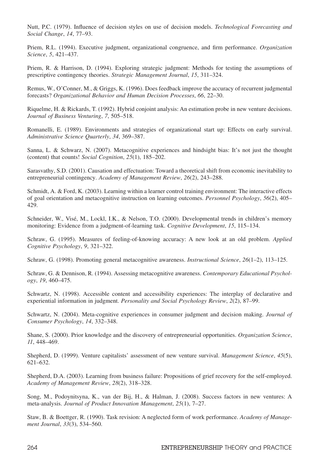Nutt, P.C. (1979). Influence of decision styles on use of decision models. *Technological Forecasting and Social Change*, *14*, 77–93.

Priem, R.L. (1994). Executive judgment, organizational congruence, and firm performance. *Organization Science*, *5*, 421–437.

Priem, R. & Harrison, D. (1994). Exploring strategic judgment: Methods for testing the assumptions of prescriptive contingency theories. *Strategic Management Journal*, *15*, 311–324.

Remus, W., O'Conner, M., & Griggs, K. (1996). Does feedback improve the accuracy of recurrent judgmental forecasts? *Organizational Behavior and Human Decision Processes*, *66*, 22–30.

Riquelme, H. & Rickards, T. (1992). Hybrid conjoint analysis: An estimation probe in new venture decisions. *Journal of Business Venturing*, *7*, 505–518.

Romanelli, E. (1989). Environments and strategies of organizational start up: Effects on early survival. *Administrative Science Quarterly*, *34*, 369–387.

Sanna, L. & Schwarz, N. (2007). Metacognitive experiences and hindsight bias: It's not just the thought (content) that counts! *Social Cognition*, *25*(1), 185–202.

Sarasvathy, S.D. (2001). Causation and effectuation: Toward a theoretical shift from economic inevitability to entrepreneurial contingency. *Academy of Management Review*, *26*(2), 243–288.

Schmidt, A. & Ford, K. (2003). Learning within a learner control training environment: The interactive effects of goal orientation and metacognitive instruction on learning outcomes. *Personnel Psychology*, *56*(2), 405– 429.

Schneider, W., Visé, M., Lockl, I.K., & Nelson, T.O. (2000). Developmental trends in children's memory monitoring: Evidence from a judgment-of-learning task. *Cognitive Development*, *15*, 115–134.

Schraw, G. (1995). Measures of feeling-of-knowing accuracy: A new look at an old problem. *Applied Cognitive Psychology*, *9*, 321–322.

Schraw, G. (1998). Promoting general metacognitive awareness. *Instructional Science*, *26*(1–2), 113–125.

Schraw, G. & Dennison, R. (1994). Assessing metacognitive awareness. *Contemporary Educational Psychology*, *19*, 460–475.

Schwartz, N. (1998). Accessible content and accessibility experiences: The interplay of declarative and experiential information in judgment. *Personality and Social Psychology Review*, *2*(2), 87–99.

Schwartz, N. (2004). Meta-cognitive experiences in consumer judgment and decision making. *Journal of Consumer Psychology*, *14*, 332–348.

Shane, S. (2000). Prior knowledge and the discovery of entrepreneurial opportunities. *Organization Science*, *11*, 448–469.

Shepherd, D. (1999). Venture capitalists' assessment of new venture survival. *Management Science*, *45*(5), 621–632.

Shepherd, D.A. (2003). Learning from business failure: Propositions of grief recovery for the self-employed. *Academy of Management Review*, *28*(2), 318–328.

Song, M., Podoynitsyna, K., van der Bij, H., & Halman, J. (2008). Success factors in new ventures: A meta-analysis. *Journal of Product Innovation Management*, *25*(1), 7–27.

Staw, B. & Boettger, R. (1990). Task revision: A neglected form of work performance. *Academy of Management Journal*, *33*(3), 534–560.